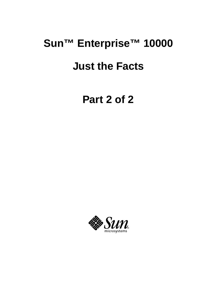# **Sun™ Enterprise™ 10000 Just the Facts**

**Part 2 of 2**

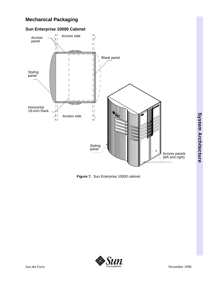# **Mechanical Packaging**

# **Sun Enterprise 10000 Cabinet**



**Figure 7.** Sun Enterprise 10000 cabinet

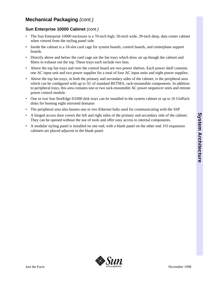# **Mechanical Packaging** *(cont.)*

#### **Sun Enterprise 10000 Cabinet** *(cont.)*

- The Sun Enterprise 10000 enclosure is a 70-inch high, 50-inch wide, 39-inch deep, data center cabinet when viewed from the styling panel side.
- Inside the cabinet is a 18-slot card cage for system boards, control boards, and centerplane support boards.
- Directly above and below the card cage are the fan trays which draw air up though the cabinet and filters to exhaust out the top. These trays each include two fans.
- Above the top fan trays and over the control board are two power shelves. Each power shelf contains one AC input unit and two power supplies for a total of four AC input units and eight power supplies.
- Above the top fan trays, in both the primary and secondary sides of the cabinet, is the peripheral area which can be configured with up to 5U of standard RETMA, rack-mountable components. In addition to peripheral trays, this area contains one or two rack-mountable AC power sequencer units and remote power control module.
- One or two Sun StorEdge D1000 disk trays can be installed in the system cabinet or up to 16 UniPack disks for booting eight mirrored domains
- The peripheral area also houses one or two Ethernet hubs used for communicating with the SSP
- A hinged access door covers the left and right sides of the primary and secondary side of the cabinet. They can be opened without the use of tools and offer easy access to internal components.
- A modular styling panel is installed on one end, with a blank panel on the other end. I/O expansion cabinets are placed adjacent to the blank panel.

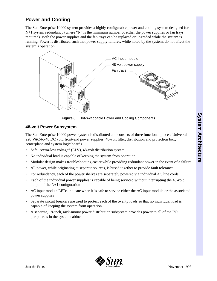# **Power and Cooling**

The Sun Enterprise 10000 system provides a highly configurable power and cooling system designed for  $N+1$  system redundancy (where "N" is the minimum number of either the power supplies or fan trays required). Both the power supplies and the fan trays can be replaced or upgraded while the system is running. Power is distributed such that power supply failures, while noted by the system, do not affect the system's operation.



**Figure 8.** Hot-swappable Power and Cooling Components

#### **48-volt Power Subsystem**

The Sun Enterprise 10000 power system is distributed and consists of three functional pieces: Universal 220 VAC-to-48 DC volt, front-end power supplies, 48-volt filter, distribution and protection box, centerplane and system logic boards.

- Safe, "extra-low voltage" (ELV), 48-volt distribution system
- No individual load is capable of keeping the system from operation
- Modular design makes troubleshooting easier while providing redundant power in the event of a failure
- All power, while originating at separate sources, is bused together to provide fault tolerance
- For redundancy, each of the power shelves are separately powered via individual AC line cords
- Each of the individual power supplies is capable of being serviced without interrupting the 48-volt output of the N+1 configuration
- AC input module LEDs indicate when it is safe to service either the AC input module or the associated power supplies
- Separate circuit breakers are used to protect each of the twenty loads so that no individual load is capable of keeping the system from operation
- A separate, 19-inch, rack-mount power distribution subsystem provides power to all of the I/O peripherals in the system cabinet

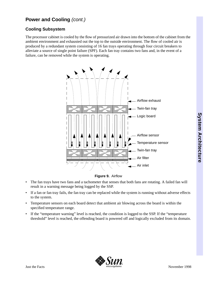# **Power and Cooling** *(cont.)*

#### **Cooling Subsystem**

The processor cabinet is cooled by the flow of pressurized air drawn into the bottom of the cabinet from the ambient environment and exhausted out the top to the outside environment. The flow of cooled air is produced by a redundant system consisting of 16 fan trays operating through four circuit breakers to alleviate a source of single point failure (SPF). Each fan tray contains two fans and, in the event of a failure, can be removed while the system is operating.



**Figure 9.** Airflow

- The fan trays have two fans and a tachometer that senses that both fans are rotating. A failed fan will result in a warning message being logged by the SSP.
- If a fan or fan tray fails, the fan tray can be replaced while the system is running without adverse effects to the system.
- Temperature sensors on each board detect that ambient air blowing across the board is within the specified temperature range.
- If the "temperature warning" level is reached, the condition is logged to the SSP. If the "temperature threshold" level is reached, the offending board is powered off and logically excluded from its domain.

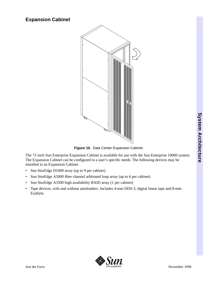# **Expansion Cabinet**



**Figure 10.** Data Center Expansion Cabinet

The 72-inch Sun Enterprise Expansion Cabinet is available for use with the Sun Enterprise 10000 system. The Expansion Cabinet can be configured to a user's specific needs. The following devices may be installed in an Expansion Cabinet:

- Sun StorEdge D1000 array (up to 9 per cabinet)
- Sun StorEdge A5000 fibre channel arbitrated loop array (up to 6 per cabinet)
- Sun StorEdge A3500 high availability RAID array (1 per cabinet)
- Tape devices, with and without autoloaders. Includes 4-mm DDS-3, digital linear tape and 8-mm Exabyte.

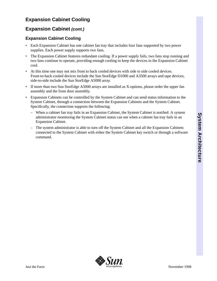# **Expansion Cabinet Cooling**

# **Expansion Cabinet** *(cont.)*

#### **Expansion Cabinet Cooling**

- Each Expansion Cabinet has one cabinet fan tray that includes four fans supported by two power supplies. Each power supply supports two fans.
- The Expansion Cabinet features redundant cooling. If a power supply fails, two fans stop running and two fans continue to operate, providing enough cooling to keep the devices in the Expansion Cabinet cool.
- At this time one may not mix front to back cooled devices with side to side cooled devices. Front-to-back cooled devices include the Sun StorEdge D1000 and A3500 arrays and tape devices, side-to-side include the Sun StorEdge A5000 array.
- If more than two Sun StorEdge A5000 arrays are installed as X-options, please order the upper fan assembly and the front door assembly.
- Expansion Cabinets can be controlled by the System Cabinet and can send status information to the System Cabinet, through a connection between the Expansion Cabinets and the System Cabinet. Specifically, the connection supports the following:
	- When a cabinet fan tray fails in an Expansion Cabinet, the System Cabinet is notified. A system administrator monitoring the System Cabinet status can see when a cabinet fan tray fails in an Expansion Cabinet.
	- The system administrator is able to turn off the System Cabinet and all the Expansion Cabinets connected to the System Cabinet with either the System Cabinet key switch or through a software command.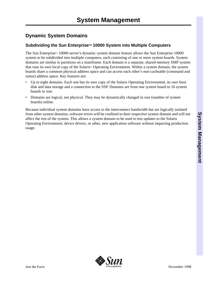# **Dynamic System Domains**

### Subdividing the Sun Enterprise<sup>™</sup> 10000 System into Multiple Computers

The Sun Enterprise<sup> $M$ </sup> 10000 server's dynamic system domain feature allows the Sun Enterprise 10000 system to be subdivided into multiple computers, each consisting of one or more system boards. System domains are similar to partitions on a mainframe. Each domain is a separate, shared-memory SMP system that runs its own local copy of the Solaris<sup>M</sup> Operating Environment. Within a system domain, the system boards share a common physical address space and can access each other's non-cacheable (command and status) address space. Key features are:

- Up to eight domains. Each one has its own copy of the Solaris Operating Environment, its own boot disk and data storage and a connection to the SSP. Domains are from one system board to 16 system boards in size.
- Domains are logical, not physical. They may be dynamically changed in size (number of system boards) online.

Because individual system domains have access to the interconnect bandwidth but are logically isolated from other system domains, software errors will be confined to their respective system domain and will not affect the rest of the system. This allows a system domain to be used to test updates to the Solaris Operating Environment, device drivers, or other, new application software without impacting production usage.

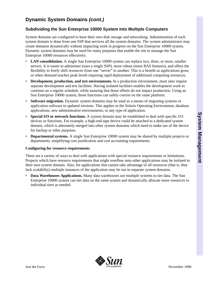# **Dynamic System Domains** *(cont.)*

#### **Subdividing the Sun Enterprise 10000 System into Multiple Computers**

System domains are configured to have their own disk storage and networking. Administration of each system domain is done from one SSP that services all the system domains. The system administrator may create domains dynamically without impacting work in progress on the Sun Enterprise 10000 system. Dynamic system domains may be used for many purposes that enable the site to manage the Sun Enterprise 10000 resources effectively:

- LAN consolidation. A single Sun Enterprise 10000 system can replace two, three, or more, smaller servers. It is easier to administer (uses a single SSP), more robust (more RAS features), and offers the flexibility to freely shift resources from one "server" to another. This is a benefit as applications grow, or when demand reaches peak levels requiring rapid deployment of additional computing resources.
- **Development, production, and test environments.** In a production environment, most sites require separate development and test facilities. Having isolated facilities enables the development work to continue on a regular schedule, while assuring that those efforts do not impact production. Using an Sun Enterprise 10000 system, those functions can safely coexist on the same platform.
- **Software migration.** Dynamic system domains may be used as a means of migrating systems or application software to updated versions. This applies to the Solaris Operating Environment, database applications, new administrative environments, or any type of application.
- **Special I/O or network functions.** A system domain may be established to deal with specific I/O devices or functions. For example, a high-end tape device could be attached to a dedicated system domain, which is alternately merged into other system domains which need to make use of the device for backup or other purposes.
- **Departmental systems.** A single Sun Enterprise 10000 system may be shared by multiple projects or departments, simplifying cost justification and cost accounting requirements.

#### **Configuring for resource requirements**

There are a variety of ways to deal with applications with special resource requirements or limitations. Projects which have resource requirements that might overflow onto other applications may be isolated to their own system domain. Also, for applications that cannot take advantage of all resources (that is, they lack scalability) multiple instances of the application may be run in separate system domains.

• **Data Warehouses Applications.** Many data warehouses use multiple systems to tier data. The Sun Enterprise 10000 system can tier data on the same system and dynamically allocate more resources to individual tiers as needed.

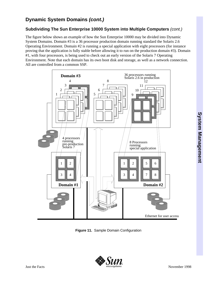# **Dynamic System Domains** *(cont.)*

# **Subdividing The Sun Enterprise 10000 System into Multiple Computers** *(cont.)*

The figure below shows an example of how the Sun Enterprise 10000 may be divided into Dynamic System Domains. Domain #3 is a 36 processor production domain running standard the Solaris 2.6 Operating Environment. Domain #2 is running a special application with eight processors (for instance proving that the application is fully stable before allowing it to run on the production domain #3). Domain #1, with four processors, is being used to check out an early version of the Solaris 7 Operating Environment. Note that each domain has its own boot disk and storage, as well as a network connection. All are controlled from a common SSP.



**Figure 11.** Sample Domain Configuration

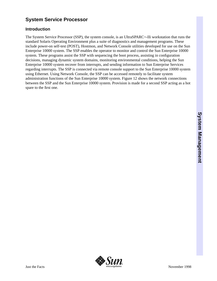# **System Service Processor**

#### **Introduction**

The System Service Processor (SSP), the system console, is an UltraSPARC<sup>M</sup>-IIi workstation that runs the standard Solaris Operating Environment plus a suite of diagnostics and management programs. These include power-on self-test (POST), Hostmon, and Network Console utilities developed for use on the Sun Enterprise 10000 system. The SSP enables the operator to monitor and control the Sun Enterprise 10000 system. These programs assist the SSP with sequencing the boot process, assisting in configuration decisions, managing dynamic system domains, monitoring environmental conditions, helping the Sun Enterprise 10000 system recover from interrupts, and sending information to Sun Enterprise Services regarding interrupts. The SSP is connected via remote console support to the Sun Enterprise 10000 system using Ethernet. Using Network Console, the SSP can be accessed remotely to facilitate system administration functions of the Sun Enterprise 10000 system. Figure 12 shows the network connections between the SSP and the Sun Enterprise 10000 system. Provision is made for a second SSP acting as a hot spare to the first one.

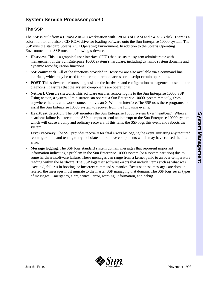### **The SSP**

The SSP is built from a UltraSPARC-IIi workstation with 128 MB of RAM and a 4.3-GB disk. There is a color monitor and also a CD-ROM drive for loading software onto the Sun Enterprise 10000 system. The SSP runs the standard Solaris 2.5.1 Operating Environment. In addition to the Solaris Operating Environment, the SSP runs the following software:

- **Hostview.** This is a graphical user interface (GUI) that assists the system administrator with management of the Sun Enterprise 10000 system's hardware, including dynamic system domains and dynamic reconfiguration functions.
- **SSP commands.** All of the functions provided in Hostview are also available via a command line interface, which may be used for more rapid remote access or to script certain operations.
- **POST.** This software performs diagnosis on the hardware and configuration management based on the diagnosis. It assures that the system components are operational.
- **Network Console (netcon).** This software enables remote logins to the Sun Enterprise 10000 SSP. Using netcon, a system administrator can operate a Sun Enterprise 10000 system remotely, from anywhere there is a network connection, via an X-Window interface.The SSP uses these programs to assist the Sun Enterprise 10000 system to recover from the following events:
- **Heartbeat detection.** The SSP monitors the Sun Enterprise 10000 system by a "heartbeat". When a heartbeat failure is detected, the SSP attempts to send an interrupt to the Sun Enterprise 10000 system which will cause a dump and ordinary recovery. If this fails, the SSP logs this event and reboots the system.
- **Error recovery.** The SSP provides recovery for fatal errors by logging the event, initiating any required reconfiguration, and testing to try to isolate and remove components which may have caused the fatal error.
- **Message logging.** The SSP logs standard system domain messages that represent important information indicating a problem in the Sun Enterprise 10000 system (or a system partition) due to some hardware/software failure. These messages can range from a kernel panic to an over-temperature reading within the hardware. The SSP logs user software errors that include items such as what was executed, failures in booting, or incorrect command semantics. Because these messages are domain related, the messages must migrate to the master SSP managing that domain. The SSP logs seven types of messages: Emergency, alert, critical, error, warning, information, and debug.

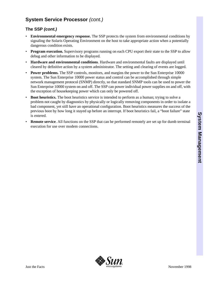#### **The SSP** *(cont.)*

- **Environmental emergency response.** The SSP protects the system from environmental conditions by signaling the Solaris Operating Environment on the host to take appropriate action when a potentially dangerous condition exists.
- **Program execution.** Supervisory programs running on each CPU export their state to the SSP to allow debug and other information to be displayed.
- **Hardware and environmental conditions**. Hardware and environmental faults are displayed until cleared by definitive action by a system administrator. The setting and clearing of events are logged.
- **Power problems.** The SSP controls, monitors, and margins the power to the Sun Enterprise 10000 system. The Sun Enterprise 10000 power status and control can be accomplished through simple network management protocol (SNMP) directly, so that standard SNMP tools can be used to power the Sun Enterprise 10000 system on and off. The SSP can power individual power supplies on and off, with the exception of housekeeping power which can only be powered off.
- **Boot heuristics.** The boot heuristics service is intended to perform as a human; trying to solve a problem not caught by diagnostics by physically or logically removing components in order to isolate a bad component, yet still have an operational configuration. Boot heuristics measures the success of the previous boot by how long it stayed up before an interrupt. If boot heuristics fail, a "boot failure" state is entered.
- **Remote service.** All functions on the SSP that can be performed remotely are set up for dumb terminal execution for use over modem connections.

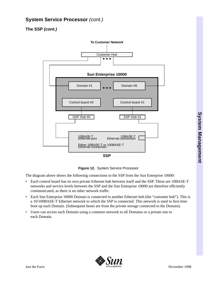# **The SSP** *(cont.)*





The diagram above shows the following connections to the SSP from the Sun Enterprise 10000:

- Each control board has its own private Ethernet hub between itself and the SSP. These are 10BASE-T networks and service levels between the SSP and the Sun Enterprise 10000 are therefore efficiently communicated, as there is no other network traffic.
- Each Sun Enterprise 10000 Domain is connected to another Ethernet hub (the "customer hub"). This is a 10/100BASE-T Ethernet network to which the SSP is connected. This network is used to first-time boot up each Domain. (Subsequent boots are from the private storage connected to the Domain).
- Users can access each Domain using a common network to all Domains or a private one to each Domain.



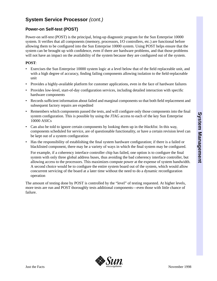# **Power-on Self-test (POST)**

Power-on self-test (POST) is the principal, bring-up diagnostic program for the Sun Enterprise 10000 system. It verifies that all components (memory, processors, I/O controllers, etc.) are functional before allowing them to be configured into the Sun Enterprise 10000 system. Using POST helps ensure that the system can be brought up with confidence, even if there are hardware problems, and that those problems will not have an impact on the availability of the system because they are configured out of the system.

#### **POST**:

- Exercises the Sun Enterprise 10000 system logic at a level below that of the field replaceable unit, and with a high degree of accuracy, finding failing components allowing isolation to the field-replaceable unit
- Provides a highly-available platform for customer applications, even in the face of hardware failures
- Provides low-level, start-of-day configuration services, including detailed interaction with specific hardware components
- Records sufficient information about failed and marginal components so that both field replacement and subsequent factory repairs are expedited
- Remembers which components passed the tests, and will configure only those components into the final system configuration. This is possible by using the JTAG access to each of the key Sun Enterprise 10000 ASICs
- Can also be told to ignore certain components by looking them up in the *blacklist*. In this way, components scheduled for service, are of questionable functionality, or have a certain revision level can be kept out of a system configuration
- Has the responsibility of establishing the final system hardware configuration; if there is a failed or blacklisted component, there may be a variety of ways in which the final system may be configured.

For example, if a coherency interface controller chip has failed, one option is to configure the final system with only three global address buses, thus avoiding the bad coherency interface controller, but allowing access to the processors. This maximizes compute power at the expense of system bandwidth. A second choice would be to configure the entire system board out of the system, which would allow concurrent servicing of the board at a later time without the need to do a dynamic reconfiguration operation

The amount of testing done by POST is controlled by the "level" of testing requested. At higher levels, more tests are run and POST thoroughly tests additional components—even those with little chance of failure.

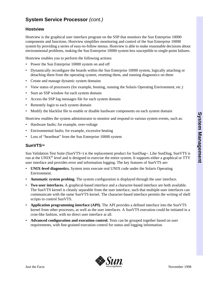#### **Hostview**

Hostview is the graphical user interface program on the SSP that monitors the Sun Enterprise 10000 components and functions. Hostview simplifies monitoring and control of the Sun Enterprise 10000 system by providing a series of easy-to-follow menus. Hostview is able to make reasonable decisions about environmental problems, making the Sun Enterprise 10000 system less susceptible to single-point failures.

Hostview enables you to perform the following actions:

- Power the Sun Enterprise 10000 system on and off
- Dynamically reconfigure the boards within the Sun Enterprise 10000 system, logically attaching or detaching them from the operating system, resetting them, and running diagnostics on them
- Create and manage dynamic system domains
- View status of processors (for example, booting, running the Solaris Operating Environment, etc.)
- Start an SSP window for each system domain
- Access the SSP log messages file for each system domain
- Remotely login to each system domain
- Modify the blacklist file to enable or disable hardware components on each system domain

Hostview enables the system administrator to monitor and respond to various system events, such as:

- Hardware faults; for example, over-voltage
- Environmental faults; for example, excessive heating
- Loss of "heartbeat" from the Sun Enterprise 10000 system

#### **SunVTS™**

Sun Validation Test Suite (SunVTS<sup>TM</sup>) is the replacement product for SunDiag<sub>M</sub>. Like SunDiag, SunVTS is run at the UNIX<sup>®</sup> level and is designed to exercise the entire system. It supports either a graphical or TTY user interface and provides error and information logging. The key features of SunVTS are:

- **UNIX-level diagnostics.** System tests execute real UNIX code under the Solaris Operating Environment.
- **Automatic system probing.** The system configuration is displayed through the user interface.
- **Two user interfaces.** A graphical-based interface and a character-based interface are both available. The SunVTS kernel is cleanly separable from the user interface, such that multiple-user interfaces can communicate with the same SunVTS kernel. The character-based interface permits the writing of shell scripts to control SunVTS.
- **Application programming interface (API).** The API provides a defined interface into the SunVTS kernel from other processes, as well as the user interfaces. A SunVTS execution could be initiated in a cron-like fashion, with no direct user interface at all.
- **Advanced configuration and execution control.** Tests can be grouped together based on user requirements, with fine-grained execution control for status and logging information.

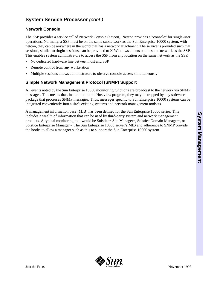#### **Network Console**

The SSP provides a service called Network Console (netcon). Netcon provides a "console" for single-user operations. Normally, a SSP must be on the same subnetwork as the Sun Enterprise 10000 system; with netcon, they can be anywhere in the world that has a network attachment. The service is provided such that sessions, similar to rlogin sessions, can be provided to X-Windows clients on the same network as the SSP. This enables system administrators to access the SSP from any location on the same network as the SSP.

- No dedicated hardware line between host and SSP
- Remote control from any workstation
- Multiple sessions allows administrators to observe console access simultaneously

#### **Simple Network Management Protocol (SNMP) Support**

All events noted by the Sun Enterprise 10000 monitoring functions are broadcast to the network via SNMP messages. This means that, in addition to the Hostview program, they may be trapped by any software package that processes SNMP messages. Thus, messages specific to Sun Enterprise 10000 systems can be integrated conveniently into a site's existing systems and network management toolsets.

A management information base (MIB) has been defined for the Sun Enterprise 10000 series. This includes a wealth of information that can be used by third-party system and network management products. A typical monitoring tool would be Solstice™ Site Manager™, Solstice Domain Manager™, or Solstice Enterprise Manager $\mathbb{N}$ . The Sun Enterprise 10000 server's MIB and adherence to SNMP provide the hooks to allow a manager such as this to support the Sun Enterprise 10000 system.

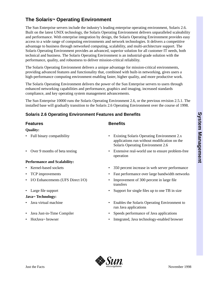# **The Solaris™ Operating Environment**

The Sun Enterprise servers include the industry's leading enterprise operating environment, Solaris 2.6. Built on the latest UNIX technology, the Solaris Operating Environment delivers unparalleled scaleability and performance. With enterprise integration by design, the Solaris Operating Environment provides easy access to a wide range of computing environments and network technologies. It delivers a competitive advantage to business through networked computing, scalability, and multi-architecture support. The Solaris Operating Environment provides an advanced, superior solution for all customer IT needs, both technical and business. The Solaris Operating Environment is an industrial-grade solution with the performance, quality, and robustness to deliver mission-critical reliability.

The Solaris Operating Environment delivers a unique advantage for mission-critical environments, providing advanced features and functionality that, combined with built-in networking, gives users a high-performance computing environment enabling faster, higher quality, and more productive work.

The Solaris Operating Environment delivers the power of the Sun Enterprise servers to users through enhanced networking capabilities and performance, graphics and imaging, increased standards compliance, and key operating system management advancements.

The Sun Enterprise 10000 runs the Solaris Operating Environment 2.6, or the previous revision 2.5.1. The installed base will gradually transition to the Solaris 2.6 Operating Environment over the course of 1998.

# **Solaris 2.6 Operating Environment Features and Benefits**

#### **Features Benefits**

#### **Quality:**

- 
- 

#### **Performance and Scalability:**

- 
- 
- 
- 

#### Java<sub>™</sub> Technology:

- 
- 
- 

- Full binary compatibility Existing Solaris Operating Environment 2.x applications run without modification on the Solaris Operating Environment 2.6
- Over 9 months of beta testing Extensive real-world use to ensure problem-free operation
- Kernel-based sockets 350 percent increase in web server performance
- TCP improvements Fast performance over large bandwidth networks
- I/O Enhancements (UFS Direct I/O) Improvement of 300 percent in large file transfers
- Large file support Support for single files up to one TB in size
- Java virtual machine Enables the Solaris Operating Environment to run Java applications
	- Java Just-in-Time Compiler Speeds performance of Java applications
	- HotJavaTM browser Integrated, Java technology-enabled browser

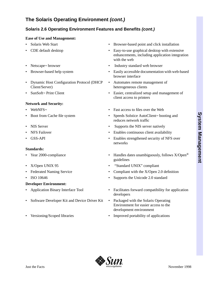# **The Solaris Operating Environment** *(cont.)*

# **Solaris 2.6 Operating Environment Features and Benefits** *(cont.)*

#### **Ease of Use and Management:**

- 
- 
- 
- 
- Dynamic Host Configuration Protocol (DHCP Client/Server)
- 

#### **Network and Security:**

- 
- 
- 
- 
- 

#### **Standards:**

- 
- 
- 
- 

#### **Developer Environment:**

- 
- Software Developer Kit and Device Driver Kit Packaged with the Solaris Operating
- 
- Solaris Web Start Browser-based point and click installation
- CDE default desktop Easy-to-use graphical desktop with extensive enhancements, including application integration with the web
- Netscape<sub>M</sub> browser Industry standard web browser
	- Browser-based help system Easily accessible documentation with web-based browser interface
		- Automates remote management of heterogeneous clients
- SunSoft<sup>M</sup> Print Client Easier, centralized setup and management of client access to printers
- WebNFS $\mathbb{R}$  Fast access to files over the Web
	- Speeds Solstice AutoClient™ booting and Speeds Solstice AutoClient™ booting and reduces network traffic
	- NIS Server Supports the NIS server natively
	- **Enables continuous client availability Enables continuous client availability**
- GSS-API Enables strengthened security of NFS over networks
	- Year 2000-compliance Handles dates unambiguously, follows X/Open® guidelines
- X/Open UNIX 95 "Standard UNIX" compliant
- Federated Naming Service Compliant with the X/Open 2.0 definition
- ISO 10646 Supports the Unicode 2.0 standard
- Application Binary Interface Tool Facilitates forward compatibility for application developers
	- Environment for easier access to the development environment
- Versioning/Scoped libraries Improved portability of applications

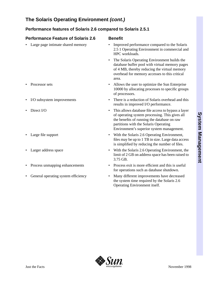# **The Solaris Operating Environment** *(cont.)*

# **Performance features of Solaris 2.6 compared to Solaris 2.5.1**

| <b>Performance Feature of Solaris 2.6</b> | <b>Benefit</b>                                                                                                                                                                                                                                         |
|-------------------------------------------|--------------------------------------------------------------------------------------------------------------------------------------------------------------------------------------------------------------------------------------------------------|
| Large page intimate shared memory         | Improved performance compared to the Solaris<br>2.5 1 Operating Environment in commercial and<br>HPC workloads.                                                                                                                                        |
|                                           | The Solaris Operating Environment builds the<br>$\bullet$<br>database buffer pool with virtual memory pages<br>of 4 MB, thereby reducing the virtual memory<br>overhead for memory accesses to this critical<br>area.                                  |
| Processor sets                            | Allows the user to optimize the Sun Enterprise<br>10000 by allocating processes to specific groups<br>of processors.                                                                                                                                   |
| I/O subsystem improvements                | There is a reduction of Solaris overhead and this<br>results in improved I/O performance.                                                                                                                                                              |
| Direct I/O                                | This allows database file access to bypass a layer<br>$\bullet$<br>of operating system processing. This gives all<br>the benefits of running the database on raw<br>partitions with the Solaris Operating<br>Environment's superior system management. |
| Large file support                        | With the Solaris 2.6 Operating Environment,<br>$\bullet$<br>files may be up to 1 TB in size. Large data access<br>is simplified by reducing the number of files.                                                                                       |
| Larger address space                      | With the Solaris 2.6 Operating Environment, the<br>$\bullet$<br>limit of 2 GB on address space has been raised to<br>3.75 GB.                                                                                                                          |
| Process unmapping enhancements            | Process exit is more efficient and this is useful<br>for operations such as database shutdown.                                                                                                                                                         |
| General operating system efficiency       | Many different improvements have decreased<br>the system time required by the Solaris 2.6<br>Operating Environment itself.                                                                                                                             |
|                                           |                                                                                                                                                                                                                                                        |

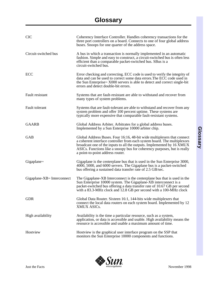| <b>CIC</b>                                                  | Coherency Interface Controller. Handles coherency transactions for the<br>three port controllers on a board. Connects to one of four global address<br>buses. Snoops for one quarter of the address space.                                                                                                                                    |  |  |
|-------------------------------------------------------------|-----------------------------------------------------------------------------------------------------------------------------------------------------------------------------------------------------------------------------------------------------------------------------------------------------------------------------------------------|--|--|
| Circuit-switched bus                                        | A bus in which a transaction is normally implemented in an automatic<br>fashion. Simple and easy to construct, a circuit-switched bus is often less<br>efficient than a comparable packet-switched bus. SBus is a<br>circuit-switched bus.                                                                                                    |  |  |
| ECC                                                         | Error checking and correcting. ECC code is used to verify the integrity of<br>data and can be used to correct some data errors. The ECC code used in<br>the Sun Enterprise <sup>N</sup> X000 servers is able to detect and correct single-bit<br>errors and detect double-bit errors.                                                         |  |  |
| Fault resistant                                             | Systems that are fault-resistant are able to withstand and recover from<br>many types of system problems.                                                                                                                                                                                                                                     |  |  |
| Fault tolerant                                              | Systems that are fault-tolerant are able to withstand and recover from any<br>system problem and offer 100 percent uptime. These systems are<br>typically more expensive that comparable fault-resistant systems.                                                                                                                             |  |  |
| <b>GAARB</b>                                                | Global Address Arbiter. Arbitrates for a global address buses.<br>Implemented by a Sun Enterprise 10000 arbiter chip.                                                                                                                                                                                                                         |  |  |
| <b>GAB</b>                                                  | Global Address Buses. Four 16:16, 48-bit wide multiplexers that connect<br>a coherent interface controller from each system board. The multiplexors<br>broadcast one of the inputs to all the outputs. Implemented by 16 XMUX<br>ASICs. Functions like a snoopy bus for coherency purposes, but is really<br>a point-to-point address router. |  |  |
| Gigaplane™                                                  | Gigaplane is the centerplane bus that is used in the Sun Enterprise 3000,<br>4000, 5000, and 6000 servers. The Gigaplane bus is a packet-switched<br>bus offering a sustained data transfer rate of 2.5 GB/sec.                                                                                                                               |  |  |
| Gigaplane- $XB^{\scriptscriptstyle \text{TM}}$ Interconnect | The Gigaplane-XB Interconnect is the centerplane bus that is used in the<br>Sun Enterprise 10000 system. The Gigaplane-XB interconnect is a<br>packet-switched bus offering a data transfer rate of 10.67 GB per second<br>with a 83.3-MHz clock and 12.8 GB per second with a 100-MHz clock                                                  |  |  |
| <b>GDR</b>                                                  | Global Data Router. Sixteen 16:1, 144-bits wide multiplexers that<br>connect the local data routers on each system board. Implemented by 12<br>XMUX ASICs.                                                                                                                                                                                    |  |  |
| High availability                                           | Availability is the time a particular resource, such as a system,<br>application, or data is accessible and usable. High availability means the<br>resource is accessible and usable a maximum amount of time.                                                                                                                                |  |  |
| Hostview                                                    | Hostview is the graphical user interface program on the SSP that<br>monitors the Sun Enterprise 10000 components and functions.                                                                                                                                                                                                               |  |  |

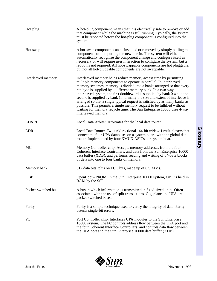| Hot plug            | A hot-plug component means that it is electrically safe to remove or add<br>that component while the machine is still running. Typically, the system<br>must be rebooted before the hot-plug component is configured into the<br>system.                                                                                                                                                                                                                                                                                                                                                                                                                                                                   |
|---------------------|------------------------------------------------------------------------------------------------------------------------------------------------------------------------------------------------------------------------------------------------------------------------------------------------------------------------------------------------------------------------------------------------------------------------------------------------------------------------------------------------------------------------------------------------------------------------------------------------------------------------------------------------------------------------------------------------------------|
| Hot swap            | A hot-swap component can be installed or removed by simply pulling the<br>component out and putting the new one in. The system will either<br>automatically recognize the component change and configure itself as<br>necessary or will require user interaction to configure the system, but a<br>reboot is not required. All hot-swappable components are hot pluggable,<br>but not all hot-pluggable components are hot swappable.                                                                                                                                                                                                                                                                      |
| Interleaved memory  | Interleaved memory helps reduce memory access time by permitting<br>multiple memory components to operate in parallel. In interleaved<br>memory schemes, memory is divided into $n$ banks arranged so that every<br><i>nth</i> byte is supplied by a different memory bank. In a two-way<br>interleaved system, the first doubleword is supplied by bank 0 while the<br>second is supplied by bank 1; normally the size and extent of interleave is<br>arranged so that a single typical request is satisfied by as many banks as<br>possible. This permits a single memory request to be fulfilled without<br>waiting for memory recycle time. The Sun Enterprise 10000 uses 4-way<br>interleaved memory. |
| <b>LDARB</b>        | Local Data Arbiter. Arbitrates for the local data router.                                                                                                                                                                                                                                                                                                                                                                                                                                                                                                                                                                                                                                                  |
| <b>LDR</b>          | Local Data Router. Two unidirectional 144-bit wide 4:1 multiplexers that<br>connect the four UPA databuses on a system board with the global data<br>router. Implemented by four XMUX ASICs per system board.                                                                                                                                                                                                                                                                                                                                                                                                                                                                                              |
| MC                  | Memory Controller chip. Accepts memory addresses from the four<br>Coherent Interface Controllers, and data from the Sun Enterprise 10000<br>data buffer (XDB), and performs reading and writing of 64-byte blocks<br>of data into one to four banks of memory.                                                                                                                                                                                                                                                                                                                                                                                                                                             |
| Memory bank         | 512 data bits, plus 64 ECC bits, made up of 8 SIMMs.                                                                                                                                                                                                                                                                                                                                                                                                                                                                                                                                                                                                                                                       |
| <b>OBP</b>          | OpenBoot™ PROM. In the Sun Enterprise 10000 system, OBP is held in<br>RAM by the SSP.                                                                                                                                                                                                                                                                                                                                                                                                                                                                                                                                                                                                                      |
| Packet-switched bus | A bus in which information is transmitted in fixed-sized units. Often<br>associated with the use of split transactions. Gigaplane and UPA are<br>packet-switched buses.                                                                                                                                                                                                                                                                                                                                                                                                                                                                                                                                    |
| Parity              | Parity is a simple technique used to verify the integrity of data. Parity<br>detects single-bit errors.                                                                                                                                                                                                                                                                                                                                                                                                                                                                                                                                                                                                    |
| PC                  | Port Controller chip. Interfaces UPA modules to the Sun Enterprise<br>10000 system. The PC controls address flow between the UPA port and<br>the four Coherent Interface Controllers, and controls data flow between<br>the UPA port and the Sun Enterprise 10000 data buffer (XDB).                                                                                                                                                                                                                                                                                                                                                                                                                       |

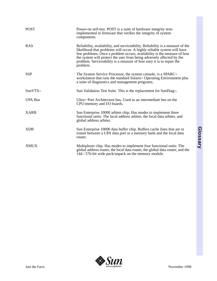| <b>POST</b>    | Power-on self-test. POST is a suite of hardware integrity tests<br>implemented in firmware that verifies the integrity of system<br>components.                                                                                                                                                                                                                                                   |
|----------------|---------------------------------------------------------------------------------------------------------------------------------------------------------------------------------------------------------------------------------------------------------------------------------------------------------------------------------------------------------------------------------------------------|
| <b>RAS</b>     | Reliability, availability, and serviceability. Reliability is a measure of the<br>likelihood that problems will occur. A highly reliable system will have<br>few problems. Once a problem occurs, availability is the measure of how<br>the system will protect the user from being adversely affected by the<br>problem. Serviceability is a measure of how easy it is to repair the<br>problem. |
| <b>SSP</b>     | The System Service Processor, the system console, is a SPARC™<br>workstation that runs the standard Solaris <sup>M</sup> Operating Environment plus<br>a suite of diagnostics and management programs.                                                                                                                                                                                            |
| SunVTS™        | Sun Validation Test Suite. This is the replacement for SunDiag <sup>™</sup> .                                                                                                                                                                                                                                                                                                                     |
| <b>UPA Bus</b> | Ultra™ Port Architecture bus. Used as an intermediate bus on the<br>CPU/memory and I/O boards.                                                                                                                                                                                                                                                                                                    |
| <b>XARB</b>    | Sun Enterprise 10000 arbiter chip. Has modes to implement three<br>functional units: The local address arbiter, the local data arbiter, and<br>global address arbiter.                                                                                                                                                                                                                            |
| <b>XDB</b>     | Sun Enterprise 10000 data buffer chip. Buffers cache lines that are in<br>transit between a UPA data port or a memory bank and the local data<br>router.                                                                                                                                                                                                                                          |
| <b>XMUX</b>    | Multiplexer chip. Has modes to implement four functional units: The<br>global address router, the local data router, the global data router, and the<br>144 / 576-bit wide pack/unpack on the memory module                                                                                                                                                                                       |

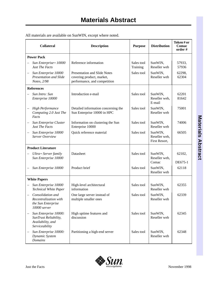| All materials are available on SunWIN, except where noted. |  |
|------------------------------------------------------------|--|
|------------------------------------------------------------|--|

| <b>Collateral</b>                                                                     | <b>Description</b>                                                                        | <b>Purpose</b>         | <b>Distribution</b>                       | Token#or<br>Comac<br>order # |
|---------------------------------------------------------------------------------------|-------------------------------------------------------------------------------------------|------------------------|-------------------------------------------|------------------------------|
| <b>Power Pack</b>                                                                     |                                                                                           |                        |                                           |                              |
| Sun Enterprise™ 10000<br><b>Just The Facts</b>                                        | Reference information                                                                     | Sales tool<br>Training | SunWIN,<br>Reseller web                   | 57933,<br>57936              |
| Sun Enterprise 10000<br>Presentation and Slide<br>Notes, 2/98                         | Presentation and Slide Notes<br>covering product, market,<br>performance, and competition | Sales tool             | SunWIN,<br>Reseller web                   | 62298,<br>62304              |
| <b>References</b>                                                                     |                                                                                           |                        |                                           |                              |
| Sun Intro: Sun<br>Enterprise 10000                                                    | Introduction e-mail                                                                       | Sales tool             | SunWIN,<br>Reseller web,<br>E-mail        | 62201<br>81642               |
| <b>High Performance</b><br>Computing 2.0 Just The<br>Facts                            | Detailed information concerning the<br>Sun Enterprise 10000 in HPC                        | Sales tool             | SunWIN,<br>Reseller web                   | 75001                        |
| Sun Enterprise Cluster<br><b>Just The Facts</b>                                       | Information on clustering the Sun<br>Enterprise 10000                                     | Sales tool             | SunWIN,<br>Reseller web                   | 74006                        |
| Sun Enterprise 10000<br>Server Overview                                               | Quick reference material                                                                  | Sales tool             | SunWIN,<br>Reseller web,<br>First Resort, | 66505                        |
| <b>Product Literature</b>                                                             |                                                                                           |                        |                                           |                              |
| <i>Ultra</i> ™ Server family<br>Sun Enterprise 10000                                  | Datasheet                                                                                 | Sales tool             | SunWIN,<br>Reseller web,<br>Comac         | 62102,<br>DE675-1            |
| Sun Enterprise 10000                                                                  | Product brief                                                                             | Sales tool             | SunWIN,<br>Reseller web                   | 62118                        |
| <b>White Papers</b>                                                                   |                                                                                           |                        |                                           |                              |
| Sun Enterprise 10000<br>$\equiv$<br>Technical White Paper                             | High-level architectural<br>information                                                   | Sales tool             | SunWIN,<br>Reseller web                   | 62355                        |
| Consolidation and<br>Recentralization with<br>the Sun Enterprise<br>10000 server      | One large server instead of<br>multiple smaller ones                                      | Sales tool             | SunWIN,<br>Reseller web                   | 62339                        |
| Sun Enterprise 10000:<br>SunTrust Reliability,<br>Availability, and<br>Serviceability | High uptime features and<br>discussion                                                    | Sales tool             | SunWIN,<br>Reseller web                   | 62345                        |
| Sun Enterprise 10000:<br>Dynamic System<br><b>Domains</b>                             | Partitioning a high-end server                                                            | Sales tool             | SunWIN,<br>Reseller web                   | 62348                        |